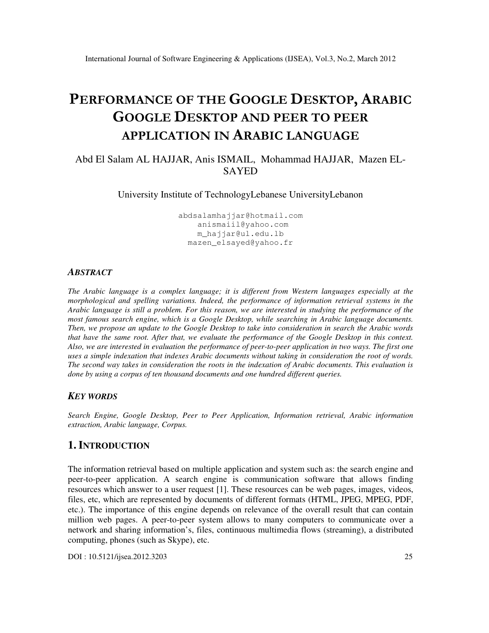# PERFORMANCE OF THE GOOGLE DESKTOP, ARABIC GOOGLE DESKTOP AND PEER TO PEER APPLICATION IN ARABIC LANGUAGE

Abd El Salam AL HAJJAR, Anis ISMAIL, Mohammad HAJJAR, Mazen EL-SAYED

University Institute of TechnologyLebanese UniversityLebanon

abdsalamhajjar@hotmail.com anismaiil@yahoo.com m\_hajjar@ul.edu.lb mazen\_elsayed@yahoo.fr

#### *ABSTRACT*

*The Arabic language is a complex language; it is different from Western languages especially at the morphological and spelling variations. Indeed, the performance of information retrieval systems in the Arabic language is still a problem. For this reason, we are interested in studying the performance of the most famous search engine, which is a Google Desktop, while searching in Arabic language documents. Then, we propose an update to the Google Desktop to take into consideration in search the Arabic words that have the same root. After that, we evaluate the performance of the Google Desktop in this context. Also, we are interested in evaluation the performance of peer-to-peer application in two ways. The first one uses a simple indexation that indexes Arabic documents without taking in consideration the root of words. The second way takes in consideration the roots in the indexation of Arabic documents. This evaluation is done by using a corpus of ten thousand documents and one hundred different queries.* 

#### *KEY WORDS*

*Search Engine, Google Desktop, Peer to Peer Application, Information retrieval, Arabic information extraction, Arabic language, Corpus.* 

# **1. INTRODUCTION**

The information retrieval based on multiple application and system such as: the search engine and peer-to-peer application. A search engine is communication software that allows finding resources which answer to a user request [1]. These resources can be web pages, images, videos, files, etc, which are represented by documents of different formats (HTML, JPEG, MPEG, PDF, etc.). The importance of this engine depends on relevance of the overall result that can contain million web pages. A peer-to-peer system allows to many computers to communicate over a network and sharing information's, files, continuous multimedia flows (streaming), a distributed computing, phones (such as Skype), etc.

DOI : 10.5121/ijsea.2012.3203 25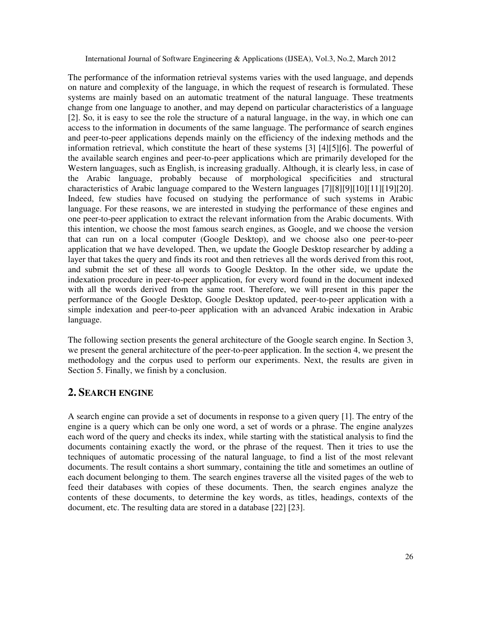The performance of the information retrieval systems varies with the used language, and depends on nature and complexity of the language, in which the request of research is formulated. These systems are mainly based on an automatic treatment of the natural language. These treatments change from one language to another, and may depend on particular characteristics of a language [2]. So, it is easy to see the role the structure of a natural language, in the way, in which one can access to the information in documents of the same language. The performance of search engines and peer-to-peer applications depends mainly on the efficiency of the indexing methods and the information retrieval, which constitute the heart of these systems [3] [4][5][6]. The powerful of the available search engines and peer-to-peer applications which are primarily developed for the Western languages, such as English, is increasing gradually. Although, it is clearly less, in case of the Arabic language, probably because of morphological specificities and structural characteristics of Arabic language compared to the Western languages [7][8][9][10][11][19][20]. Indeed, few studies have focused on studying the performance of such systems in Arabic language. For these reasons, we are interested in studying the performance of these engines and one peer-to-peer application to extract the relevant information from the Arabic documents. With this intention, we choose the most famous search engines, as Google, and we choose the version that can run on a local computer (Google Desktop), and we choose also one peer-to-peer application that we have developed. Then, we update the Google Desktop researcher by adding a layer that takes the query and finds its root and then retrieves all the words derived from this root, and submit the set of these all words to Google Desktop. In the other side, we update the indexation procedure in peer-to-peer application, for every word found in the document indexed with all the words derived from the same root. Therefore, we will present in this paper the performance of the Google Desktop, Google Desktop updated, peer-to-peer application with a simple indexation and peer-to-peer application with an advanced Arabic indexation in Arabic language.

The following section presents the general architecture of the Google search engine. In Section 3, we present the general architecture of the peer-to-peer application. In the section 4, we present the methodology and the corpus used to perform our experiments. Next, the results are given in Section 5. Finally, we finish by a conclusion.

# **2. SEARCH ENGINE**

A search engine can provide a set of documents in response to a given query [1]. The entry of the engine is a query which can be only one word, a set of words or a phrase. The engine analyzes each word of the query and checks its index, while starting with the statistical analysis to find the documents containing exactly the word, or the phrase of the request. Then it tries to use the techniques of automatic processing of the natural language, to find a list of the most relevant documents. The result contains a short summary, containing the title and sometimes an outline of each document belonging to them. The search engines traverse all the visited pages of the web to feed their databases with copies of these documents. Then, the search engines analyze the contents of these documents, to determine the key words, as titles, headings, contexts of the document, etc. The resulting data are stored in a database [22] [23].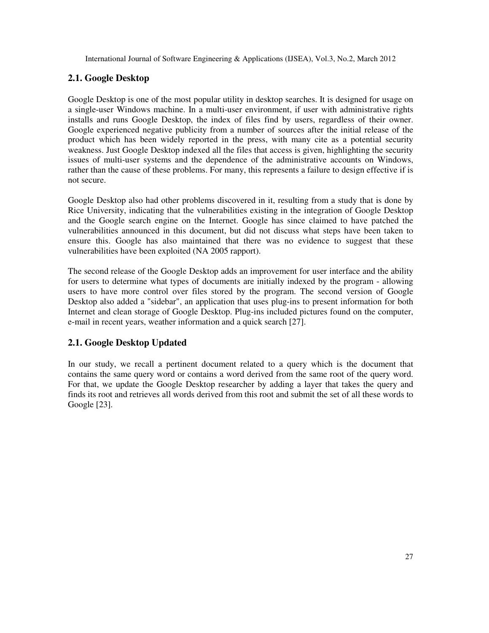#### **2.1. Google Desktop**

Google Desktop is one of the most popular utility in desktop searches. It is designed for usage on a single-user Windows machine. In a multi-user environment, if user with administrative rights installs and runs Google Desktop, the index of files find by users, regardless of their owner. Google experienced negative publicity from a number of sources after the initial release of the product which has been widely reported in the press, with many cite as a potential security weakness. Just Google Desktop indexed all the files that access is given, highlighting the security issues of multi-user systems and the dependence of the administrative accounts on Windows, rather than the cause of these problems. For many, this represents a failure to design effective if is not secure.

Google Desktop also had other problems discovered in it, resulting from a study that is done by Rice University, indicating that the vulnerabilities existing in the integration of Google Desktop and the Google search engine on the Internet. Google has since claimed to have patched the vulnerabilities announced in this document, but did not discuss what steps have been taken to ensure this. Google has also maintained that there was no evidence to suggest that these vulnerabilities have been exploited (NA 2005 rapport).

The second release of the Google Desktop adds an improvement for user interface and the ability for users to determine what types of documents are initially indexed by the program - allowing users to have more control over files stored by the program. The second version of Google Desktop also added a "sidebar", an application that uses plug-ins to present information for both Internet and clean storage of Google Desktop. Plug-ins included pictures found on the computer, e-mail in recent years, weather information and a quick search [27].

## **2.1. Google Desktop Updated**

In our study, we recall a pertinent document related to a query which is the document that contains the same query word or contains a word derived from the same root of the query word. For that, we update the Google Desktop researcher by adding a layer that takes the query and finds its root and retrieves all words derived from this root and submit the set of all these words to Google [23].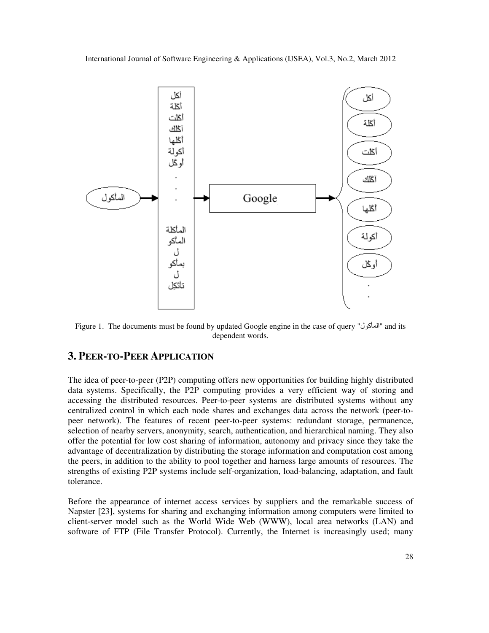

Figure 1. The documents must be found by updated Google engine in the case of query "المأكول "and its dependent words.

# **3. PEER-TO-PEER APPLICATION**

The idea of peer-to-peer (P2P) computing offers new opportunities for building highly distributed data systems. Specifically, the P2P computing provides a very efficient way of storing and accessing the distributed resources. Peer-to-peer systems are distributed systems without any centralized control in which each node shares and exchanges data across the network (peer-topeer network). The features of recent peer-to-peer systems: redundant storage, permanence, selection of nearby servers, anonymity, search, authentication, and hierarchical naming. They also offer the potential for low cost sharing of information, autonomy and privacy since they take the advantage of decentralization by distributing the storage information and computation cost among the peers, in addition to the ability to pool together and harness large amounts of resources. The strengths of existing P2P systems include self-organization, load-balancing, adaptation, and fault tolerance.

Before the appearance of internet access services by suppliers and the remarkable success of Napster [23], systems for sharing and exchanging information among computers were limited to client-server model such as the World Wide Web (WWW), local area networks (LAN) and software of FTP (File Transfer Protocol). Currently, the Internet is increasingly used; many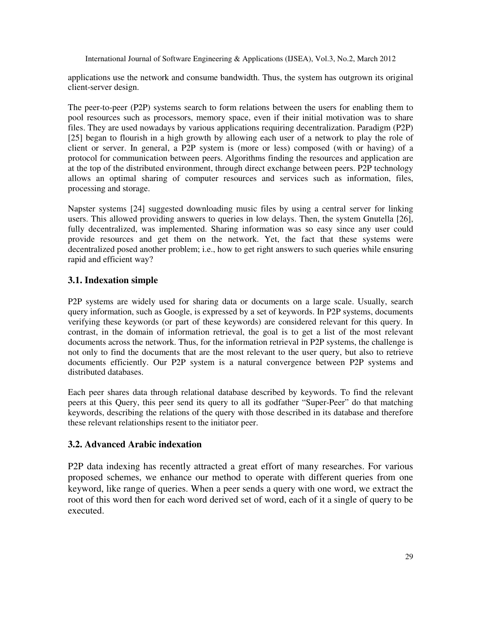applications use the network and consume bandwidth. Thus, the system has outgrown its original client-server design.

The peer-to-peer (P2P) systems search to form relations between the users for enabling them to pool resources such as processors, memory space, even if their initial motivation was to share files. They are used nowadays by various applications requiring decentralization. Paradigm (P2P) [25] began to flourish in a high growth by allowing each user of a network to play the role of client or server. In general, a P2P system is (more or less) composed (with or having) of a protocol for communication between peers. Algorithms finding the resources and application are at the top of the distributed environment, through direct exchange between peers. P2P technology allows an optimal sharing of computer resources and services such as information, files, processing and storage.

Napster systems [24] suggested downloading music files by using a central server for linking users. This allowed providing answers to queries in low delays. Then, the system Gnutella [26], fully decentralized, was implemented. Sharing information was so easy since any user could provide resources and get them on the network. Yet, the fact that these systems were decentralized posed another problem; i.e., how to get right answers to such queries while ensuring rapid and efficient way?

## **3.1. Indexation simple**

P2P systems are widely used for sharing data or documents on a large scale. Usually, search query information, such as Google, is expressed by a set of keywords. In P2P systems, documents verifying these keywords (or part of these keywords) are considered relevant for this query. In contrast, in the domain of information retrieval, the goal is to get a list of the most relevant documents across the network. Thus, for the information retrieval in P2P systems, the challenge is not only to find the documents that are the most relevant to the user query, but also to retrieve documents efficiently. Our P2P system is a natural convergence between P2P systems and distributed databases.

Each peer shares data through relational database described by keywords. To find the relevant peers at this Query, this peer send its query to all its godfather "Super-Peer" do that matching keywords, describing the relations of the query with those described in its database and therefore these relevant relationships resent to the initiator peer.

## **3.2. Advanced Arabic indexation**

P2P data indexing has recently attracted a great effort of many researches. For various proposed schemes, we enhance our method to operate with different queries from one keyword, like range of queries. When a peer sends a query with one word, we extract the root of this word then for each word derived set of word, each of it a single of query to be executed.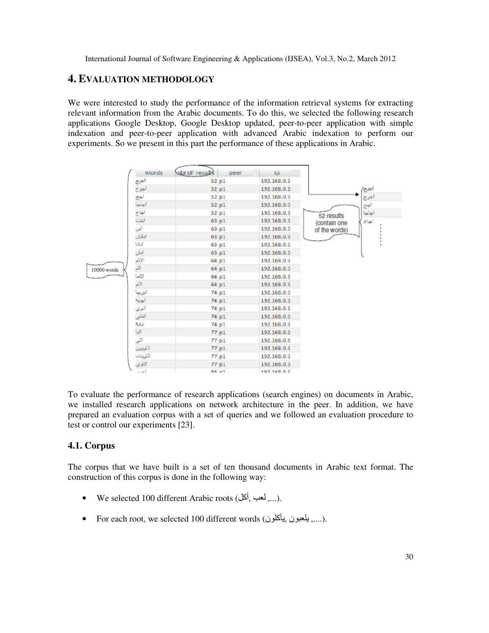#### **4. EVALUATION METHODOLOGY**

We were interested to study the performance of the information retrieval systems for extracting relevant information from the Arabic documents. To do this, we selected the following research applications Google Desktop, Google Desktop updated, peer-to-peer application with simple indexation and peer-to-peer application with advanced Arabic indexation to perform our experiments. So we present in this part the performance of these applications in Arabic.



To evaluate the performance of research applications (search engines) on documents in Arabic, we installed research applications on network architecture in the peer. In addition, we have prepared an evaluation corpus with a set of queries and we followed an evaluation procedure to test or control our experiments [23].

#### **4.1. Corpus**

The corpus that we have built is a set of ten thousand documents in Arabic text format. The construction of this corpus is done in the following way:

- We selected 100 different Arabic roots (أكل, لعب ,...(.
- For each root, we selected 100 different words (يأكلون, يلعبون ,....(.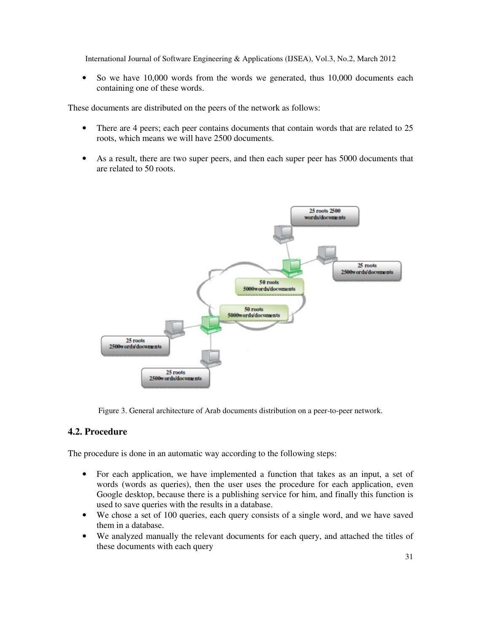So we have 10,000 words from the words we generated, thus 10,000 documents each containing one of these words.

These documents are distributed on the peers of the network as follows:

- There are 4 peers; each peer contains documents that contain words that are related to 25 roots, which means we will have 2500 documents.
- As a result, there are two super peers, and then each super peer has 5000 documents that are related to 50 roots.



Figure 3. General architecture of Arab documents distribution on a peer-to-peer network.

## **4.2. Procedure**

The procedure is done in an automatic way according to the following steps:

- For each application, we have implemented a function that takes as an input, a set of words (words as queries), then the user uses the procedure for each application, even Google desktop, because there is a publishing service for him, and finally this function is used to save queries with the results in a database.
- We chose a set of 100 queries, each query consists of a single word, and we have saved them in a database.
- We analyzed manually the relevant documents for each query, and attached the titles of these documents with each query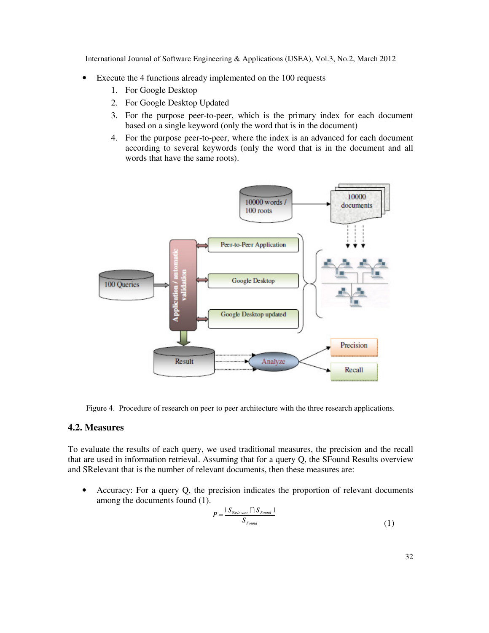- Execute the 4 functions already implemented on the 100 requests
	- 1. For Google Desktop
	- 2. For Google Desktop Updated
	- 3. For the purpose peer-to-peer, which is the primary index for each document based on a single keyword (only the word that is in the document)
	- 4. For the purpose peer-to-peer, where the index is an advanced for each document according to several keywords (only the word that is in the document and all words that have the same roots).



Figure 4. Procedure of research on peer to peer architecture with the three research applications.

#### **4.2. Measures**

To evaluate the results of each query, we used traditional measures, the precision and the recall that are used in information retrieval. Assuming that for a query Q, the SFound Results overview and SRelevant that is the number of relevant documents, then these measures are:

• Accuracy: For a query Q, the precision indicates the proportion of relevant documents among the documents found (1).

$$
P = \frac{|S_{\text{Relevant}} \cap S_{\text{Found}}|}{S_{\text{Found}}}
$$
\n(1)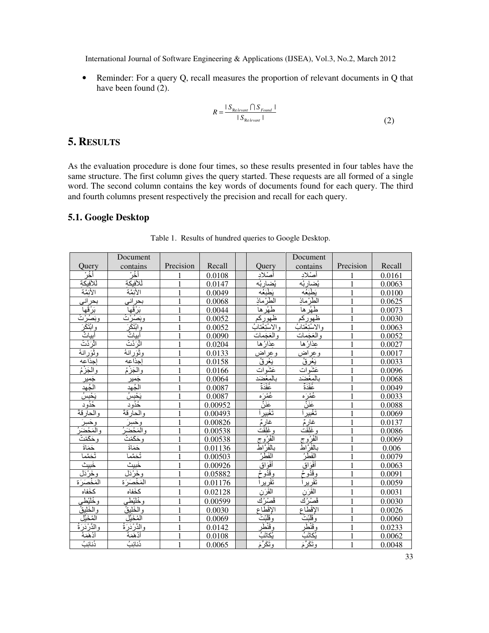• Reminder: For a query Q, recall measures the proportion of relevant documents in Q that have been found (2).

$$
R = \frac{|S_{\text{Re} \text{levant}} \cap S_{\text{Found}}|}{|S_{\text{Re} \text{levant}}|}
$$
 (2)

# **5. RESULTS**

As the evaluation procedure is done four times, so these results presented in four tables have the same structure. The first column gives the query started. These requests are all formed of a single word. The second column contains the key words of documents found for each query. The third and fourth columns present respectively the precision and recall for each query.

#### **5.1. Google Desktop**

|                                                            | Document                                             |           |         |                                    | Document                       |           |        |
|------------------------------------------------------------|------------------------------------------------------|-----------|---------|------------------------------------|--------------------------------|-----------|--------|
| Query                                                      | contains                                             | Precision | Recall  | Query                              | contains                       | Precision | Recall |
| اءُر'<br>آخر                                               | أخُرٌ                                                |           | 0.0108  | أصلاد                              | أصْلاد                         |           | 0.0161 |
| للأفنكة                                                    | للأفيكة                                              |           | 0.0147  | <u>يُض</u> اربُه                   | يُضاربُه                       |           | 0.0063 |
| الأنمَّة                                                   | الأنقة                                               |           | 0.0049  | يَطْبَعُه                          | يَطْبَعُه                      |           | 0.0100 |
|                                                            |                                                      |           | 0.0068  | <u>الْطَّرْماذِ</u><br>طَهْرِها    | الطَرْماذِ                     | 1         | 0.0625 |
| <u>بحرانی</u><br>بَرْقَها                                  | بحرانى<br>بَرْقَها                                   |           | 0.0044  |                                    | طَهْرُهَا                      |           | 0.0073 |
| وبَصَٰرْتُ                                                 | <u>وبَصُرْتُ</u>                                     |           | 0.0052  | ظهوركم                             | ظهوركم                         |           | 0.0030 |
| وابْتَكَرَ                                                 | وابْتَكَرَ                                           |           | 0.0052  | والاستغتاب                         | والاستغناب                     |           | 0.0063 |
| أبيات                                                      | أبيات                                                |           | 0.0090  | والعَجَمات                         | والعَجَمات                     |           | 0.0052 |
| اثَرَنْتُ                                                  | اثْرَدْتُ                                            |           | 0.0204  | عِذَارُها                          | عِذَارُهَا                     | 1         | 0.0027 |
| وثَوَرانهُ                                                 | وثَوَرانهُ                                           |           | 0.0133  |                                    |                                | 1         | 0.0017 |
| إجذاعه                                                     | إجذاعه                                               |           | 0.0158  | <u>وعراض</u><br>يَغْرقُ<br>عَشَوات | <u>وعِراض</u><br>يَغْرِقُ      | 1         | 0.0033 |
| والجزء                                                     | <u>والْجَزْمُ</u>                                    |           | 0.0166  |                                    | عَشَوَات                       |           | 0.0096 |
| ر جبري<br>جَمير<br>الجُهد<br>والحارقةُ                     | كنين<br>جَمير<br>الجُهد<br>يَحْبِسُ<br>حُدُود        |           | 0.0064  | بالمغضد                            | بالمغضد                        |           | 0.0068 |
|                                                            |                                                      |           | 0.0087  | كَفَّذَةٌ                          | عُقْدَةٌ                       |           | 0.0049 |
|                                                            |                                                      |           | 0.0087  | عُمُرَه                            | عُمُرَه                        |           | 0.0033 |
|                                                            |                                                      |           | 0.00952 | عَنَنٌ                             | عَنَنٌ                         |           | 0.0088 |
|                                                            |                                                      |           | 0.00493 | تَغْيير                            | تَغْيير                        |           | 0.0069 |
| <u>و—ب<br/>وحَسِرَ</u><br>والمَحْضَرُ<br>وحَكَمْ <u>تُ</u> |                                                      |           | 0.00826 | غارمٌ                              | غارمٌ                          |           | 0.0137 |
|                                                            |                                                      |           | 0.00538 | وغَلِقَت                           |                                |           | 0.0086 |
|                                                            | .<br>و حَكَمْتُ                                      |           | 0.00538 | الفُرُوج                           | <u>و غَلِقَّت<br/>الفَرُوج</u> |           | 0.0069 |
| ۡحَمَاۃَ                                                   | حَمَاةَ                                              |           | 0.01136 | <u>بالفَرَّاط</u><br>الفَطْرُ      | بالفَرَّاط                     |           | 0.006  |
| تُحَمَّما                                                  | تُحَمَّما                                            |           | 0.00503 |                                    | الفطّرُ'                       |           | 0.0079 |
| خَبيث                                                      | خَبِيِثَ<br><u>وخَرْدَل</u><br>المَخْصَرَة<br>كخَفاه |           | 0.00926 | أفْوَاق                            | <u>أفْوَاق</u>                 | 1         | 0.0063 |
| <u>وخَرْدَل</u>                                            |                                                      |           | 0.05882 | وقُدُوحُ                           |                                |           | 0.0091 |
| الْمَغْصَرَة                                               |                                                      |           | 0.01176 | تَقْرِير                           | <u>تَقْرَير</u>                |           | 0.0059 |
| كخفاه                                                      |                                                      |           | 0.02128 | القَرَنِ                           | القَرَنِ                       | 1         | 0.0031 |
| و خَلَيْطَم                                                |                                                      |           | 0.00599 | قَصْرُكَ                           | قَصْرُكَ                       |           | 0.0030 |
| والخَلِيقُ                                                 | <u>وَالْخَلِيقُ</u>                                  |           | 0.0030  | الاقطاع                            | الاقطاع                        | 1         | 0.0026 |
| المُخَيَّل                                                 |                                                      |           | 0.0069  | وَقَلَبْتُ                         | وَقَلَبْتُ                     |           | 0.0060 |
| والذَّرْذَرَةُ                                             |                                                      |           | 0.0142  | و قَنْطُر                          | و قَنْطُر                      |           | 0.0233 |
| أدْهَمَهُ                                                  | أدْهَمَهُ                                            |           | 0.0108  | ڹٚػڷڹؙ                             | <u>بُّكاتَبُ</u>               | 1         | 0.0062 |
| ذَنائٹ                                                     | ذَنائٹ                                               |           | 0.0065  | وتَكَرَّمَ                         |                                |           | 0.0048 |

Table 1. Results of hundred queries to Google Desktop.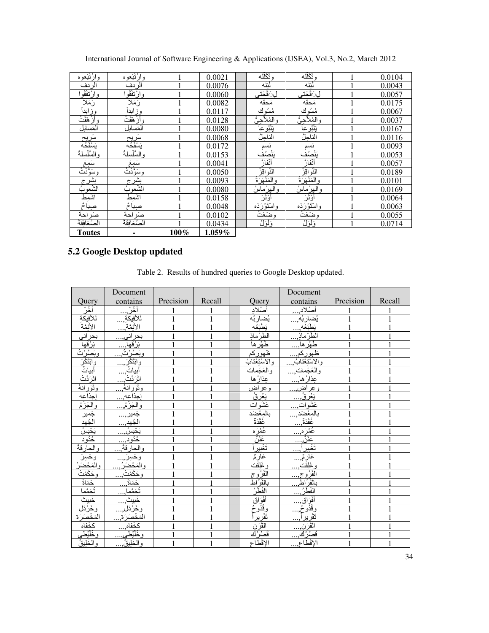| وارْتَبَعوه          | وارْتَبَعوه            |      | 0.0021    | و تَكَلَّلُه         | و تَكَلَّله            | 0.0104 |
|----------------------|------------------------|------|-----------|----------------------|------------------------|--------|
| الردف                | الردف                  |      | 0.0076    | أبَنَه               | أبَنَه                 | 0.0043 |
| وارْتَفَقُو          | <u>وارْتَفَقُو</u>     |      | 0.0060    | ڶ۞ڡٚڂؾؽ              | ڶ۞ؘڡؘٚڂٮٙى             | 0.0057 |
| رَمَلا               | زَمَلا                 |      | 0.0082    | مَحقّه               | مَحقّه                 | 0.0175 |
| وزابدأ               | وزابدأ                 |      | 0.0117    | مُسُوك               | مُسُوك                 | 0.0067 |
| وأزْهَقَتْ           | وأزْهَقَتْ             |      | 0.0128    | والفلأجئ             | <u>ِ المُلَاجِئُ</u>   | 0.0037 |
| المسابل              | المسابل                |      | 0.0080    | يَنْبُوعاً           | يَنْبُوعاً             | 0.0167 |
| سَريح<br>يَسْفَحُه   | سَریح<br>یَسْفَحُه     |      | 0.0068    | الناجل               | الناجل                 | 0.0116 |
|                      |                        |      | 0.0172    | نسم                  | نسم                    | 0.0093 |
| والسَّلْسِلَةَ       | والسَّلْسِكَ           |      | 0.0153    | يَنْصُفْ             | يَنْصُفَ               | 0.0053 |
| سَمِعَ               | َ سَمِعَ<br>وسَوَّدْتُ |      | 0.0041    | أنْفارً              | أنْفارٌ                | 0.0057 |
| وسَوَّدْتُ           |                        |      | 0.0050    | النّواقِزُ           | النّواقِزُ             | 0.0189 |
| -<br>بشرج<br>الشعوبُ | _<br>بشرج<br>الشعوبُ   |      | 0.0093    | <u>والمَنْهَرَةُ</u> | والمَنْهَرَةُ          | 0.0101 |
|                      |                        |      | 0.0080    | <u>والمِوْماسُ</u>   | والمهرْماسُ            | 0.0169 |
| اشمط                 | اشْمِط                 |      | 0.0158    | أَوْتَزَ             | أَوْتَزَ               | 0.0064 |
| صباخ                 | صباحٌ                  |      | 0.0048    | واسْتَوْرَدَه        | واسْ <u>تَوْرَدَ</u> ه | 0.0063 |
| صَر احة              | صَراحة                 |      | 0.0102    | وضَعَتْ              | وضَعَتْ                | 0.0055 |
| الصَّعَافِقَةُ       | الصَّعَافِقَةُ         |      | 0.0434    | وَلْوَلْ             | وَلْوَلْ               | 0.0714 |
| <b>Toutes</b>        |                        | 100% | $1.059\%$ |                      |                        |        |

International Journal of Software Engineering & Applications (IJSEA), Vol.3, No.2, March 2012

# **5.2 Google Desktop updated**

|                                                                                                                                                                                                                                  | Document                                                                                     |           |        |                                                                                                                     | Document                                                                       |           |        |
|----------------------------------------------------------------------------------------------------------------------------------------------------------------------------------------------------------------------------------|----------------------------------------------------------------------------------------------|-----------|--------|---------------------------------------------------------------------------------------------------------------------|--------------------------------------------------------------------------------|-----------|--------|
| Query                                                                                                                                                                                                                            | contains                                                                                     | Precision | Recall | Query                                                                                                               | contains                                                                       | Precision | Recall |
|                                                                                                                                                                                                                                  | Contains<br>أَخُرْ<br>أَلاَفِيكَةِ<br>بِحَرَّانَى<br>بِرُثْهُهَا<br>وَبَصُرْتُ<br>وَبَصُرْتُ |           |        | Viery<br>أصلارية<br>أصلارية<br>يطبيقه<br>أصلاح المسلمان<br>والفخمات<br>والفخمات<br>والفخمات<br>مصاراتها<br>مصاراتها |                                                                                |           |        |
|                                                                                                                                                                                                                                  |                                                                                              |           |        |                                                                                                                     |                                                                                |           |        |
|                                                                                                                                                                                                                                  |                                                                                              |           |        |                                                                                                                     |                                                                                |           |        |
|                                                                                                                                                                                                                                  |                                                                                              |           |        |                                                                                                                     |                                                                                |           |        |
|                                                                                                                                                                                                                                  |                                                                                              |           |        |                                                                                                                     |                                                                                |           |        |
|                                                                                                                                                                                                                                  |                                                                                              |           |        |                                                                                                                     |                                                                                |           |        |
|                                                                                                                                                                                                                                  |                                                                                              |           |        |                                                                                                                     |                                                                                |           |        |
|                                                                                                                                                                                                                                  |                                                                                              |           |        |                                                                                                                     |                                                                                |           |        |
|                                                                                                                                                                                                                                  |                                                                                              |           |        |                                                                                                                     |                                                                                |           |        |
| سمیت<br>بزفها<br>وبَصُرْتُ<br>والنَّنَكَرُ<br>النِّزَدْتُ<br>وَأَنُوَرَانَهُ<br>وَأَنُوَرَانَهُ                                                                                                                                  |                                                                                              |           |        | ے رک<br>وَعَرَاضَ<br>يَعْرَقُ<br>بِالْمِعْضَدِ<br>بِالْمِعْضَدِ<br>عُقْدَةٌ                                         | <u>سبان </u><br>وعراض<br>يَعْرِقُ<br>يَتَشُوات<br>بِالْمِعْضَد<br>بِأَعْقَدَةٌ |           |        |
|                                                                                                                                                                                                                                  |                                                                                              |           |        |                                                                                                                     |                                                                                |           |        |
|                                                                                                                                                                                                                                  |                                                                                              |           |        |                                                                                                                     |                                                                                |           |        |
|                                                                                                                                                                                                                                  |                                                                                              |           |        |                                                                                                                     |                                                                                |           |        |
|                                                                                                                                                                                                                                  |                                                                                              |           |        |                                                                                                                     |                                                                                |           |        |
|                                                                                                                                                                                                                                  |                                                                                              |           |        |                                                                                                                     | <u>—--</u><br>غُفرَه<br>غَنَنٌ<br>قَغْبير أ                                    |           |        |
|                                                                                                                                                                                                                                  |                                                                                              |           |        |                                                                                                                     |                                                                                |           |        |
|                                                                                                                                                                                                                                  |                                                                                              |           |        |                                                                                                                     |                                                                                |           |        |
|                                                                                                                                                                                                                                  |                                                                                              |           |        | سنبير<br>فَالِمُّ<br>وَغَلِقَت<br>الفُوُّرَاطُ<br>بِالفُوَّاطُ                                                      |                                                                                |           |        |
|                                                                                                                                                                                                                                  |                                                                                              |           |        |                                                                                                                     |                                                                                |           |        |
|                                                                                                                                                                                                                                  |                                                                                              |           |        |                                                                                                                     | ر <u></u><br>وغلقت<br>الفُرُو ج                                                |           |        |
|                                                                                                                                                                                                                                  |                                                                                              |           |        |                                                                                                                     |                                                                                |           |        |
|                                                                                                                                                                                                                                  |                                                                                              |           |        |                                                                                                                     |                                                                                |           |        |
|                                                                                                                                                                                                                                  |                                                                                              |           |        |                                                                                                                     |                                                                                |           |        |
|                                                                                                                                                                                                                                  |                                                                                              |           |        | أَفْوَاقٌ<br>وَقُذُو َ                                                                                              |                                                                                |           |        |
| اجزاعة المنظمة المنظمة المنظمة المنظمة المنظمة المنظمة المنظمة المنظمة المنظمة المنظمة المنظمة المنظمة المنظمة<br>والمنظمة المنظمة المنظمة المنظمة المنظمة المنظمة المنظمة المنظمة المنظمة المنظمة المنظمة المنظمة المنظمة المنظ |                                                                                              |           |        | <u> تَقْریز</u>                                                                                                     | <del>گیے</del><br>تقریر                                                        |           |        |
|                                                                                                                                                                                                                                  |                                                                                              |           |        |                                                                                                                     |                                                                                |           |        |
|                                                                                                                                                                                                                                  |                                                                                              |           |        |                                                                                                                     | قَصْرُ كَ                                                                      |           |        |
| والخَلِيقُ                                                                                                                                                                                                                       | والخَلِيقُ,                                                                                  |           |        | الإقطاع                                                                                                             | الإقْطَاعِ                                                                     |           |        |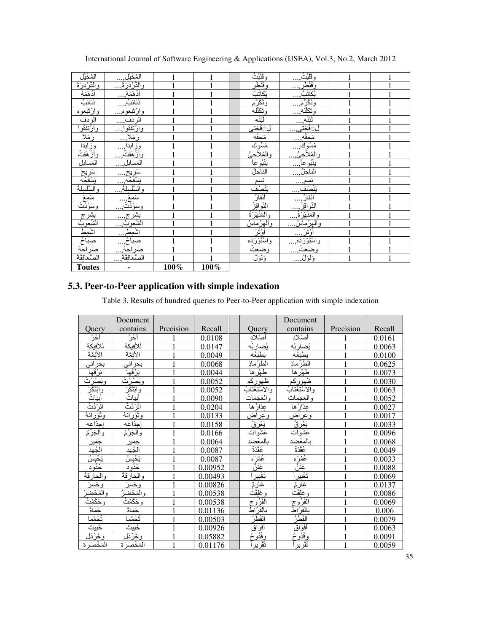| المُخَيِّل<br>وَالَّذَرْنَ مَنْ الْمُخَيِّل<br>أَذْهَمَهُ مِنْ اللَّذِينَ<br>وَارْتَفَقُوْا<br>وَالْرَفَقَقُوْا<br>الصَّفَاقَفَهُ مِنْ سَفَرْنَتَ<br>السَّلْسِلَةُ مُنْ سَفَرْنَتَ<br>وَالسَّلْسِلَةُ مِنْ سَفَرْنَتَ<br>السَّلْسِلِيَّةُ مِنْ سَفَرْ |      |      | وَقَلَّئِنَّ<br>وَتَقَرَّضُ الْفَلَاءُ<br>وَتَكَرَّمُ الْفَلَاءُ<br>وَتَكَرَّمُ الْفَلَاءُ الْفَلَاءُ الْفَلَاءُ الْفَلَاءُ الْفَلَاءُ الْفَلَاءُ الْفَلَاء<br>اللَّهِ الْفَلَاءُ الْفَلَاءُ الْفَلَاءُ الْفَلَاءُ الْفَلَاءُ الْفَلَاءُ |               |  |
|-------------------------------------------------------------------------------------------------------------------------------------------------------------------------------------------------------------------------------------------------------|------|------|------------------------------------------------------------------------------------------------------------------------------------------------------------------------------------------------------------------------------------------|---------------|--|
|                                                                                                                                                                                                                                                       |      |      |                                                                                                                                                                                                                                          |               |  |
|                                                                                                                                                                                                                                                       |      |      |                                                                                                                                                                                                                                          |               |  |
|                                                                                                                                                                                                                                                       |      |      |                                                                                                                                                                                                                                          |               |  |
|                                                                                                                                                                                                                                                       |      |      |                                                                                                                                                                                                                                          |               |  |
|                                                                                                                                                                                                                                                       |      |      |                                                                                                                                                                                                                                          |               |  |
|                                                                                                                                                                                                                                                       |      |      |                                                                                                                                                                                                                                          |               |  |
|                                                                                                                                                                                                                                                       |      |      |                                                                                                                                                                                                                                          |               |  |
|                                                                                                                                                                                                                                                       |      |      |                                                                                                                                                                                                                                          |               |  |
|                                                                                                                                                                                                                                                       |      |      |                                                                                                                                                                                                                                          |               |  |
|                                                                                                                                                                                                                                                       |      |      |                                                                                                                                                                                                                                          |               |  |
|                                                                                                                                                                                                                                                       |      |      |                                                                                                                                                                                                                                          |               |  |
|                                                                                                                                                                                                                                                       |      |      |                                                                                                                                                                                                                                          |               |  |
|                                                                                                                                                                                                                                                       |      |      |                                                                                                                                                                                                                                          |               |  |
|                                                                                                                                                                                                                                                       |      |      |                                                                                                                                                                                                                                          |               |  |
|                                                                                                                                                                                                                                                       |      |      |                                                                                                                                                                                                                                          | الْمَنْهَرَةُ |  |
|                                                                                                                                                                                                                                                       |      |      |                                                                                                                                                                                                                                          |               |  |
|                                                                                                                                                                                                                                                       |      |      |                                                                                                                                                                                                                                          |               |  |
|                                                                                                                                                                                                                                                       |      |      |                                                                                                                                                                                                                                          |               |  |
|                                                                                                                                                                                                                                                       |      |      |                                                                                                                                                                                                                                          |               |  |
|                                                                                                                                                                                                                                                       |      |      |                                                                                                                                                                                                                                          |               |  |
| <b>Toutes</b>                                                                                                                                                                                                                                         | 100% | 100% |                                                                                                                                                                                                                                          |               |  |

International Journal of Software Engineering & Applications (IJSEA), Vol.3, No.2, March 2012

# **5.3. Peer-to-Peer application with simple indexation**

Table 3. Results of hundred queries to Peer-to-Peer application with simple indexation

|                                                                | Document                         |           |         |                                        | Document                                    |              |        |
|----------------------------------------------------------------|----------------------------------|-----------|---------|----------------------------------------|---------------------------------------------|--------------|--------|
| Ouery                                                          | contains                         | Precision | Recall  | Ouery                                  | contains                                    | Precision    | Recall |
| أخُرُ                                                          | أخُرٌ                            |           | 0.0108  | أصلاد                                  | أصلاد                                       |              | 0.0161 |
| للأفيكة                                                        | للأفكة                           |           | 0.0147  |                                        | <u>يُضباربُ</u> ه                           |              | 0.0063 |
| الأنمَّة                                                       | الأنقة                           |           | 0.0049  | يُضارِبُهَ<br>يَطْبَعُه<br>الطِّرْماذِ | <u>َيَطْبَعُه</u><br>الطِّرْماذِ            |              | 0.0100 |
| <u>بحرانی</u><br>بَرْقَها<br>وبَصُرْتُ<br>وابْتَكَرَ<br>أبياتٌ | <u>بحرانے</u>                    |           | 0.0068  |                                        |                                             |              | 0.0625 |
|                                                                | بَرْقَها                         |           | 0.0044  | لْحَهْرْهَا                            | طَهْرٌهاَ                                   |              | 0.0073 |
|                                                                | وبَصُرْتُ                        |           | 0.0052  | ظهوركم                                 | <u>ظهورکم</u>                               |              | 0.0030 |
|                                                                | وَابْتُكَرَ                      |           | 0.0052  | والاسْتِغْتَابُ                        | والاستغناب                                  |              | 0.0063 |
|                                                                | ابياتٌ                           |           | 0.0090  | والعَجَمات                             | <u>والعَجَمات</u><br>عِذارُها               |              | 0.0052 |
| <u>اثَرَدْتُ</u>                                               | <u>اثَرَدْتُ</u>                 |           | 0.0204  | عِذَارُهَا                             |                                             |              | 0.0027 |
| وثَوَّرانهُ                                                    | وثَوَّرانهُ                      |           | 0.0133  | وعِرا <u>ض</u><br>يَعْرِقُ             | <u>وعراض</u><br>یَغْرقُ                     |              | 0.0017 |
| إجذاعه                                                         | إجذاعه                           |           | 0.0158  |                                        |                                             |              | 0.0033 |
| والجَزْمُ                                                      | والجَزْمُ                        |           | 0.0166  | عَشَوات                                | عَشَوات                                     |              | 0.0096 |
|                                                                | کند<br>جَمير<br>الجُهد<br>جَدُود |           | 0.0064  | بالمغضد                                | بالمِعْضَد<br>عُقْدَةٌ                      |              | 0.0068 |
|                                                                |                                  |           | 0.0087  | عُقْدَةٌ                               |                                             |              | 0.0049 |
|                                                                |                                  |           | 0.0087  | عُمُرَه<br>عَنَنٌ                      | عُمُرَه<br>عَنَنٌ                           |              | 0.0033 |
|                                                                |                                  |           | 0.00952 |                                        |                                             |              | 0.0088 |
|                                                                | والحارقة                         |           | 0.00493 | تَغْبير                                | تَغْيير                                     |              | 0.0069 |
| <u>وحَسِرَ</u><br>والمَحْضَرُ<br>وحَكَمْتُ<br>حَمَاةَ          |                                  |           | 0.00826 | غارمٌ                                  | غارمٌ                                       |              | 0.0137 |
|                                                                |                                  |           | 0.00538 | <u>و غَلِقَٰت<br/>الفُرُوج</u>         | وغَلِقَتْ                                   |              | 0.0086 |
|                                                                |                                  |           | 0.00538 |                                        | <u>وعيف<br/>الفَرُوج</u><br>بالفَرَّاط      |              | 0.0069 |
|                                                                | حَمَاةَ                          |           | 0.01136 | بالفَرَّاط                             |                                             |              | 0.006  |
| ثُخَمَّما                                                      | تُحَمَّم                         |           | 0.00503 | الفطر                                  | الفطرُ                                      |              | 0.0079 |
|                                                                |                                  |           | 0.00926 |                                        | أفْوَاق                                     |              | 0.0063 |
| <u>خَسِٹ</u><br>وخَرْدَ <u>ل</u><br>المَخْصَرَة                | خَبي <u>ث</u><br>وخَرْدَل        |           | 0.05882 | اَفْوَاق<br><u>وفُ</u> دُوحُ           |                                             |              | 0.0091 |
|                                                                | المَخْصَرَة                      |           | 0.01176 |                                        | <del>وَقُدُوحُ</del><br>تَقْ <u>رِير</u> اً | $\mathbf{1}$ | 0.0059 |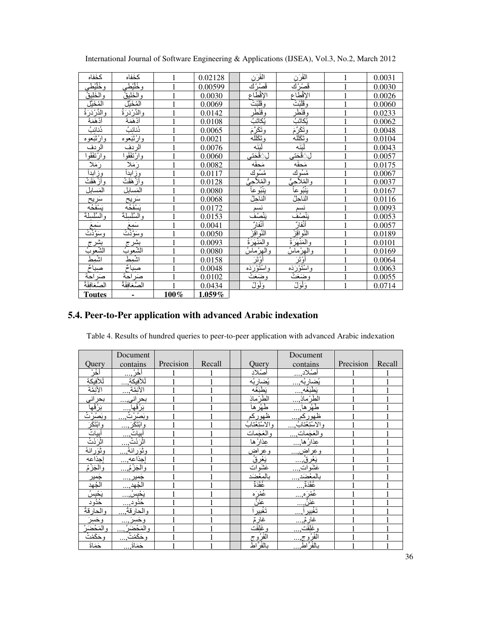| كخَفاه                                                          | كخفاه                                                           |         | 0.02128   | القَرَنِ                                               | القَرَنِ                                                        |   | 0.0031 |
|-----------------------------------------------------------------|-----------------------------------------------------------------|---------|-----------|--------------------------------------------------------|-----------------------------------------------------------------|---|--------|
| وخُلَيْطي                                                       | وخُلَيْط                                                        |         | 0.00599   | قَصْرُكَ                                               | <u>قَصْرُكَ</u>                                                 |   | 0.0030 |
| <u>والخَلِيقُ</u><br>والخَلِيقُ<br>والدَّرْدَرَةُ<br>أَدْهَمَهُ | والخليق                                                         |         | 0.0030    | الإقطاع                                                | الإقطاع                                                         |   | 0.0026 |
|                                                                 | المُخَيَّل                                                      |         | 0.0069    | مُتَّقِينَ<br>وَقَلَبْنَ                               | <u>وُقَلَّبْتُ</u><br>وَقَنْطَر                                 |   | 0.0060 |
|                                                                 | <u>والذَّرْدَزَةُ</u><br>أَدْهَمَهُ                             |         | 0.0142    |                                                        |                                                                 |   | 0.0233 |
|                                                                 |                                                                 |         | 0.0108    |                                                        |                                                                 |   | 0.0062 |
| نَنائِبُ                                                        | ذَنائِبُ                                                        |         | 0.0065    | <u>نُکاتَبُ</u><br>يُکَاتَبُ<br>وتَکَلَّلَه<br>لَبَنَه | <u>بِ<br/>يُكاتَبُ</u><br>وتَكَلَّلُه<br>وتَكَلَّلُه<br>لَبَنَه |   | 0.0048 |
| وارْتَبَعوه                                                     | وارْتَبَعوه                                                     |         | 0.0021    |                                                        |                                                                 |   | 0.0104 |
|                                                                 |                                                                 |         | 0.0076    |                                                        |                                                                 |   | 0.0043 |
| <u>آلردف</u><br>وارْتَفَقَو                                     | <u>الردف</u><br>وارْتَفَقُوا                                    |         | 0.0060    | <u>ل</u> َ َقۡخَتـ <i>َـ</i><br>مَحقَه                 | <u>ل</u> َ َقۡخَت <i>َـو</i><br>مَحقَه                          |   | 0.0057 |
| زَمَلا                                                          | رَمَلا                                                          |         | 0.0082    |                                                        |                                                                 |   | 0.0175 |
| وزابدأ                                                          | وزابدأ                                                          |         | 0.0117    | مُسُوك                                                 | مُسُوك                                                          |   | 0.0067 |
| و أَزْ هَقَتْ                                                   | ۿؘقَّتُ<br>و أزْ                                                |         | 0.0128    | <u>والمُلاَّحِيُّ</u><br>يَنْبُوعاً                    | <u>والمُلاَّحِیُّ</u><br>يَنْبُوعاً<br>الناحِلُ                 |   | 0.0037 |
| المسابل                                                         | المَسابل                                                        |         | 0.0080    |                                                        |                                                                 |   | 0.0167 |
|                                                                 |                                                                 |         | 0.0068    | الناجلُ                                                |                                                                 |   | 0.0116 |
|                                                                 |                                                                 |         | 0.0172    |                                                        |                                                                 |   | 0.0093 |
| <u>سَرِيح<br/>يَسْفَحُه</u><br>والسَّلْسِلَّةُ                  | <del>سَرِيحِ<br/>يَسْفَحُهِ<br/>والسَّلْسِلَةُ</del>            |         | 0.0153    | نسم<br>يَنْصُف                                         | نسم<br>يَنْصُف                                                  |   | 0.0053 |
|                                                                 |                                                                 |         | 0.0041    | أنْفار"                                                | أنْفارٌ                                                         |   | 0.0057 |
|                                                                 |                                                                 |         | 0.0050    | النّواقِزُ                                             | النّواقِزُ                                                      |   | 0.0189 |
|                                                                 |                                                                 |         | 0.0093    | <u>المَنْهَرَ ةُ</u>                                   | والعَنْهَرَةُ                                                   |   | 0.0101 |
|                                                                 |                                                                 |         | 0.0080    | والمهزماس                                              | والمهزماس                                                       |   | 0.0169 |
|                                                                 | <u>ويسبب</u><br>سَمِعَ<br>وِسَوَّدْتُ<br>الشَّعوبُ<br>الشَّعوبُ |         | 0.0158    | أَوْتَزَ                                               |                                                                 |   | 0.0064 |
| <u>صباحٌ</u><br>صَراحة                                          | صِياءٌ                                                          |         | 0.0048    | واسْتَوْرَدَه                                          | واسْتَوْرَدَه                                                   |   | 0.0063 |
|                                                                 | صراحة                                                           |         | 0.0102    | وضَعَتْ                                                | <u>وضَعَتْ</u><br>وَلَوَلُ                                      |   | 0.0055 |
| الصَّعَافِقَةُ                                                  | الصَّعَافِقَةَ                                                  |         | 0.0434    | وَلْوَلْ                                               |                                                                 | 1 | 0.0714 |
| <b>Toutes</b>                                                   |                                                                 | $100\%$ | $1.059\%$ |                                                        |                                                                 |   |        |

International Journal of Software Engineering & Applications (IJSEA), Vol.3, No.2, March 2012

# **5.4. Peer-to-Per application with advanced Arabic indexation**

Table 4. Results of hundred queries to peer-to-peer application with advanced Arabic indexation

|                                                                        | Document                                                              |           |        |                                                                                                                                                                          | Document                                    |                       |        |
|------------------------------------------------------------------------|-----------------------------------------------------------------------|-----------|--------|--------------------------------------------------------------------------------------------------------------------------------------------------------------------------|---------------------------------------------|-----------------------|--------|
| Query                                                                  | contains                                                              | Precision | Recall | Query                                                                                                                                                                    | contains                                    | Precision $\parallel$ | Recall |
| <u>ؖڵڂُر</u><br><u>لَلأفِيكة</u><br>الأَنِقَّة                         |                                                                       |           |        | كلمات<br>أصلات<br>يُطْبَعُه<br>الطَّرْمانِ<br>الطَّرْمانِ<br>طَهْرِرِ ها<br>ويحراض الله عشوات<br>ويحراض الله عشوات<br>ويحراض<br>ويحراض<br>ويحراض<br>المعضوات<br>المعضوات | أصْلاد <sub></sub><br>يُضباريُه <sub></sub> |                       |        |
|                                                                        |                                                                       |           |        |                                                                                                                                                                          |                                             |                       |        |
|                                                                        |                                                                       |           |        |                                                                                                                                                                          | يَطْبَغُه                                   |                       |        |
| منوب<br>بعرانی<br>بَرْقَها<br>وَابْتَكَرَ<br>وَابْتَكَرَ<br>اَبْزَدْتُ | <u>ي</u>                                                              |           |        |                                                                                                                                                                          |                                             |                       |        |
|                                                                        | يَزْقَها                                                              |           |        |                                                                                                                                                                          |                                             |                       |        |
|                                                                        | <u>وبَصُرْتٌ</u>                                                      |           |        |                                                                                                                                                                          |                                             |                       |        |
|                                                                        | ۣٳڹۘؾٞػٙڒ                                                             |           |        |                                                                                                                                                                          |                                             |                       |        |
|                                                                        |                                                                       |           |        |                                                                                                                                                                          |                                             |                       |        |
|                                                                        |                                                                       |           |        |                                                                                                                                                                          | ُ عِذَارُ ها,                               |                       |        |
| وثَوَرانهُ                                                             | انزدت<br>وتُوَرانهُ                                                   |           |        |                                                                                                                                                                          |                                             |                       |        |
|                                                                        |                                                                       |           |        |                                                                                                                                                                          |                                             |                       |        |
| كعناء<br>والجَزْءُ والجَزْءُ<br>والجَزْءُ<br>الجُمِينُ<br>الجُمْونِ    | <u>درين = </u><br>إجذاعه<br>والجَزْءُ<br>أيكه<br>يَخْبِسُ<br>يَخْبُسُ |           |        |                                                                                                                                                                          |                                             |                       |        |
|                                                                        |                                                                       |           |        |                                                                                                                                                                          |                                             |                       |        |
|                                                                        |                                                                       |           |        |                                                                                                                                                                          |                                             |                       |        |
|                                                                        |                                                                       |           |        | سنة<br>عَفَرَهُ<br>تَغْبِيراً<br>غَالِمٌ                                                                                                                                 |                                             |                       |        |
|                                                                        |                                                                       |           |        |                                                                                                                                                                          |                                             |                       |        |
| والحارقة                                                               | <u>حدي</u><br>وا <u>لحارق</u> ة.                                      |           |        |                                                                                                                                                                          |                                             |                       |        |
|                                                                        |                                                                       |           |        |                                                                                                                                                                          |                                             |                       |        |
|                                                                        |                                                                       |           |        | ريد<br>وغُلِقَة                                                                                                                                                          | كنيتين<br>وغَ <mark>كِ</mark> ة             |                       |        |
|                                                                        |                                                                       |           |        | <u>الفَرُوج</u>                                                                                                                                                          |                                             |                       |        |
| خَمَاةَ                                                                | خَمَاةَ,                                                              |           |        | بالفُرَّاط                                                                                                                                                               | بالفُرَّاط,                                 |                       |        |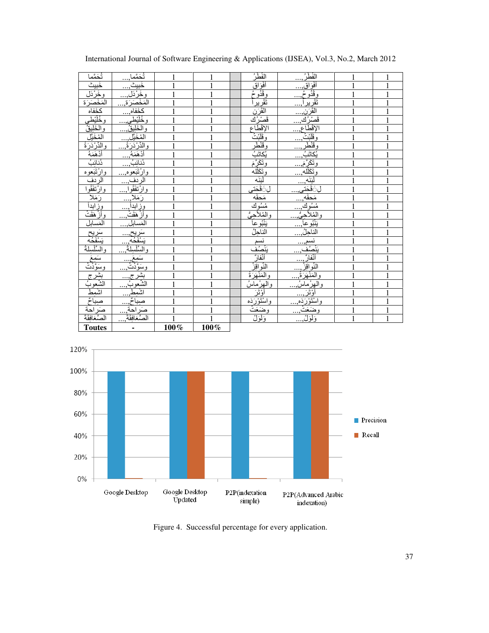|                                                                                                                                                                                                                                     |         |         | الفَطْنُ إِنَّ اللَّهُ وَاللَّهُ وَاللَّهُ وَاللَّهُ وَاللَّهُ وَاللَّهُ وَاللَّهُ وَاللَّهُ وَاللَّهُ وَاللَّ<br>اللَّهُ وَاللَّهُ وَاللَّهُ وَاللَّهُ وَاللَّهُ وَاللَّهُ وَاللَّهُ وَاللَّهُ وَاللَّهُ وَاللَّهُ وَاللَّهُ وَ |              |   |
|-------------------------------------------------------------------------------------------------------------------------------------------------------------------------------------------------------------------------------------|---------|---------|----------------------------------------------------------------------------------------------------------------------------------------------------------------------------------------------------------------------------------|--------------|---|
|                                                                                                                                                                                                                                     |         |         |                                                                                                                                                                                                                                  |              |   |
| نُّخَفَّفا وَ يَذَا يَذَا يَخْصَلُ<br>وَخَزَّذَنَ فَا يَخْصُلُ وَ يَخْزُدَنَ فَا يَخْصُلُ وَ يَخْزُدَنَ فَا يَخْطَبُ وَ يَخْلُثُ وَ يَخْطَبُ وَ يَخْ<br>وَالْخَلَيْفِيُّ وَ يَخْطَبُ وَ يَخْطَبُ وَ يَخْطَبُ وَ يَخْطِبُ وَ يَخْطِب |         |         |                                                                                                                                                                                                                                  | $\mathbf{1}$ | 1 |
|                                                                                                                                                                                                                                     | $100\%$ | $100\%$ |                                                                                                                                                                                                                                  |              |   |

International Journal of Software Engineering & Applications (IJSEA), Vol.3, No.2, March 2012



Figure 4. Successful percentage for every application.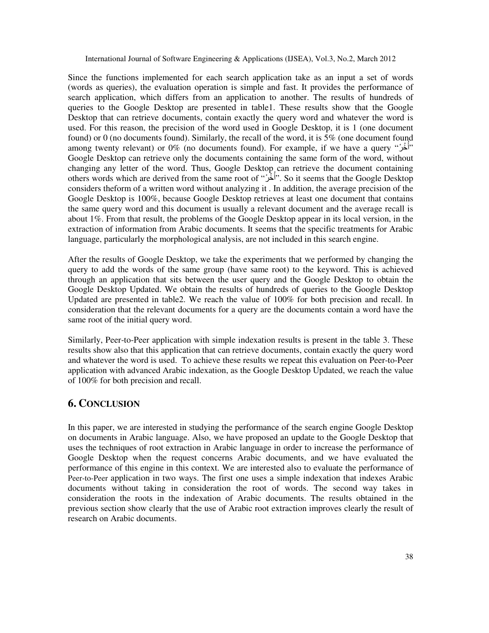Since the functions implemented for each search application take as an input a set of words (words as queries), the evaluation operation is simple and fast. It provides the performance of search application, which differs from an application to another. The results of hundreds of queries to the Google Desktop are presented in table1. These results show that the Google Desktop that can retrieve documents, contain exactly the query word and whatever the word is used. For this reason, the precision of the word used in Google Desktop, it is 1 (one document found) or 0 (no documents found). Similarly, the recall of the word, it is 5% (one document found among twenty relevant) or 0% (no documents found). For example, if we have a query "أَخُرْ" اُ Google Desktop can retrieve only the documents containing the same form of the word, without changing any letter of the word. Thus, Google Desktop can retrieve the document containing others words which are derived from the same root of "رْ خُ أ". So it seems that the Google Desktop ُ considers theform of a written word without analyzing it . In addition, the average precision of the Google Desktop is 100%, because Google Desktop retrieves at least one document that contains the same query word and this document is usually a relevant document and the average recall is about 1%. From that result, the problems of the Google Desktop appear in its local version, in the extraction of information from Arabic documents. It seems that the specific treatments for Arabic language, particularly the morphological analysis, are not included in this search engine.

After the results of Google Desktop, we take the experiments that we performed by changing the query to add the words of the same group (have same root) to the keyword. This is achieved through an application that sits between the user query and the Google Desktop to obtain the Google Desktop Updated. We obtain the results of hundreds of queries to the Google Desktop Updated are presented in table2. We reach the value of 100% for both precision and recall. In consideration that the relevant documents for a query are the documents contain a word have the same root of the initial query word.

Similarly, Peer-to-Peer application with simple indexation results is present in the table 3. These results show also that this application that can retrieve documents, contain exactly the query word and whatever the word is used. To achieve these results we repeat this evaluation on Peer-to-Peer application with advanced Arabic indexation, as the Google Desktop Updated, we reach the value of 100% for both precision and recall.

## **6. CONCLUSION**

In this paper, we are interested in studying the performance of the search engine Google Desktop on documents in Arabic language. Also, we have proposed an update to the Google Desktop that uses the techniques of root extraction in Arabic language in order to increase the performance of Google Desktop when the request concerns Arabic documents, and we have evaluated the performance of this engine in this context. We are interested also to evaluate the performance of Peer-to-Peer application in two ways. The first one uses a simple indexation that indexes Arabic documents without taking in consideration the root of words. The second way takes in consideration the roots in the indexation of Arabic documents. The results obtained in the previous section show clearly that the use of Arabic root extraction improves clearly the result of research on Arabic documents.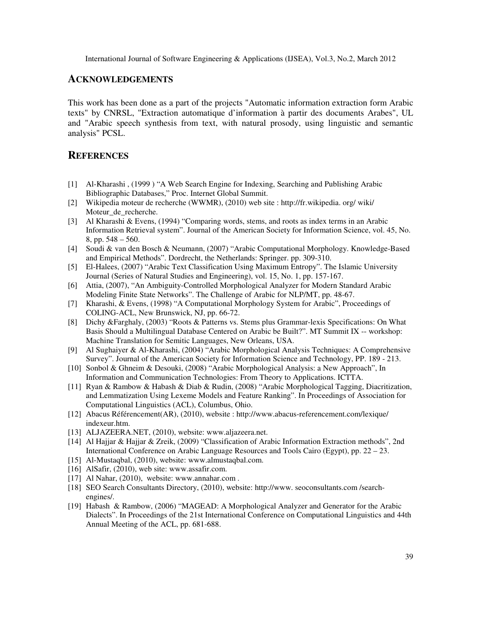#### **ACKNOWLEDGEMENTS**

This work has been done as a part of the projects "Automatic information extraction form Arabic texts" by CNRSL, "Extraction automatique d'information à partir des documents Arabes", UL and "Arabic speech synthesis from text, with natural prosody, using linguistic and semantic analysis" PCSL.

#### **REFERENCES**

- [1] Al-Kharashi , (1999 ) "A Web Search Engine for Indexing, Searching and Publishing Arabic Bibliographic Databases," Proc. Internet Global Summit.
- [2] Wikipedia moteur de recherche (WWMR), (2010) web site : http://fr.wikipedia. org/ wiki/ Moteur de recherche.
- [3] Al Kharashi & Evens, (1994) "Comparing words, stems, and roots as index terms in an Arabic Information Retrieval system". Journal of the American Society for Information Science, vol. 45, No. 8, pp. 548 – 560.
- [4] Soudi & van den Bosch & Neumann, (2007) "Arabic Computational Morphology. Knowledge-Based and Empirical Methods". Dordrecht, the Netherlands: Springer. pp. 309-310.
- [5] El-Halees, (2007) "Arabic Text Classification Using Maximum Entropy". The Islamic University Journal (Series of Natural Studies and Engineering), vol. 15, No. 1, pp. 157-167.
- [6] Attia, (2007), "An Ambiguity-Controlled Morphological Analyzer for Modern Standard Arabic Modeling Finite State Networks". The Challenge of Arabic for NLP/MT, pp. 48-67.
- [7] Kharashi, & Evens, (1998) "A Computational Morphology System for Arabic", Proceedings of COLING-ACL, New Brunswick, NJ, pp. 66-72.
- [8] Dichy &Farghaly, (2003) "Roots & Patterns vs. Stems plus Grammar-lexis Specifications: On What Basis Should a Multilingual Database Centered on Arabic be Built?". MT Summit IX -- workshop: Machine Translation for Semitic Languages, New Orleans, USA.
- [9] Al Sughaiyer & Al-Kharashi, (2004) "Arabic Morphological Analysis Techniques: A Comprehensive Survey". Journal of the American Society for Information Science and Technology, PP. 189 - 213.
- [10] Sonbol & Ghneim & Desouki, (2008) "Arabic Morphological Analysis: a New Approach", In Information and Communication Technologies: From Theory to Applications. ICTTA.
- [11] Ryan & Rambow & Habash & Diab & Rudin, (2008) "Arabic Morphological Tagging, Diacritization, and Lemmatization Using Lexeme Models and Feature Ranking". In Proceedings of Association for Computational Linguistics (ACL), Columbus, Ohio.
- [12] Abacus Référencement(AR), (2010), website : http://www.abacus-referencement.com/lexique/ indexeur.htm.
- [13] ALJAZEERA.NET, (2010), website: www.aljazeera.net.
- [14] Al Hajjar & Hajjar & Zreik, (2009) "Classification of Arabic Information Extraction methods", 2nd International Conference on Arabic Language Resources and Tools Cairo (Egypt), pp. 22 – 23.
- [15] Al-Mustaqbal, (2010), website: www.almustaqbal.com.
- [16] AlSafir, (2010), web site: www.assafir.com.
- [17] Al Nahar, (2010), website: www.annahar.com.
- [18] SEO Search Consultants Directory, (2010), website: http://www. seoconsultants.com /searchengines/.
- [19] Habash & Rambow, (2006) "MAGEAD: A Morphological Analyzer and Generator for the Arabic Dialects". In Proceedings of the 21st International Conference on Computational Linguistics and 44th Annual Meeting of the ACL, pp. 681-688.